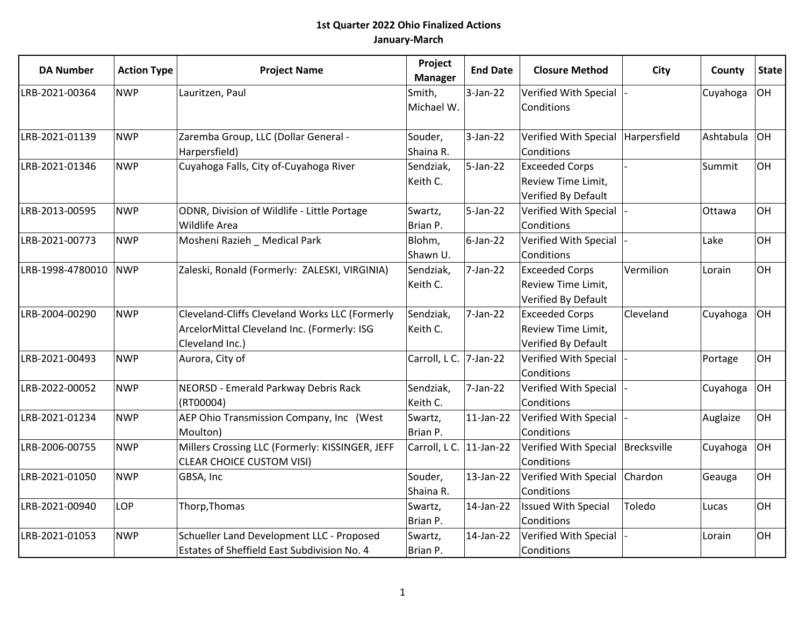| <b>DA Number</b> | <b>Action Type</b> | <b>Project Name</b>                                                                                              | Project<br><b>Manager</b> | <b>End Date</b> | <b>Closure Method</b>                                              | City         | County    | <b>State</b> |
|------------------|--------------------|------------------------------------------------------------------------------------------------------------------|---------------------------|-----------------|--------------------------------------------------------------------|--------------|-----------|--------------|
| LRB-2021-00364   | <b>NWP</b>         | Lauritzen, Paul                                                                                                  | Smith,<br>Michael W.      | $3$ -Jan-22     | Verified With Special<br>Conditions                                |              | Cuyahoga  | OH           |
| LRB-2021-01139   | <b>NWP</b>         | Zaremba Group, LLC (Dollar General -<br>Harpersfield)                                                            | Souder,<br>Shaina R.      | $3$ -Jan-22     | <b>Verified With Special</b><br>Conditions                         | Harpersfield | Ashtabula | OH           |
| LRB-2021-01346   | <b>NWP</b>         | Cuyahoga Falls, City of-Cuyahoga River                                                                           | Sendziak,<br>Keith C.     | 5-Jan-22        | <b>Exceeded Corps</b><br>Review Time Limit,<br>Verified By Default |              | Summit    | OH           |
| LRB-2013-00595   | <b>NWP</b>         | ODNR, Division of Wildlife - Little Portage<br>Wildlife Area                                                     | Swartz,<br>Brian P.       | $5$ -Jan-22     | Verified With Special<br>Conditions                                |              | Ottawa    | lон          |
| LRB-2021-00773   | <b>NWP</b>         | Mosheni Razieh _ Medical Park                                                                                    | Blohm,<br>Shawn U.        | 6-Jan-22        | Verified With Special<br>Conditions                                |              | Lake      | OH           |
| LRB-1998-4780010 | <b>NWP</b>         | Zaleski, Ronald (Formerly: ZALESKI, VIRGINIA)                                                                    | Sendziak,<br>Keith C.     | 7-Jan-22        | <b>Exceeded Corps</b><br>Review Time Limit,<br>Verified By Default | Vermilion    | Lorain    | OH           |
| LRB-2004-00290   | <b>NWP</b>         | Cleveland-Cliffs Cleveland Works LLC (Formerly<br>ArcelorMittal Cleveland Inc. (Formerly: ISG<br>Cleveland Inc.) | Sendziak,<br>Keith C.     | 7-Jan-22        | <b>Exceeded Corps</b><br>Review Time Limit,<br>Verified By Default | Cleveland    | Cuyahoga  | OH           |
| LRB-2021-00493   | <b>NWP</b>         | Aurora, City of                                                                                                  | Carroll, L C. 7-Jan-22    |                 | Verified With Special<br>Conditions                                |              | Portage   | OH           |
| LRB-2022-00052   | <b>NWP</b>         | NEORSD - Emerald Parkway Debris Rack<br>(RT00004)                                                                | Sendziak,<br>Keith C.     | 7-Jan-22        | Verified With Special<br>Conditions                                |              | Cuyahoga  | OH           |
| LRB-2021-01234   | <b>NWP</b>         | AEP Ohio Transmission Company, Inc (West<br>Moulton)                                                             | Swartz,<br>Brian P.       | $11$ -Jan-22    | Verified With Special<br>Conditions                                |              | Auglaize  | OH           |
| LRB-2006-00755   | <b>NWP</b>         | Millers Crossing LLC (Formerly: KISSINGER, JEFF<br><b>CLEAR CHOICE CUSTOM VISI)</b>                              | Carroll, L C. 11-Jan-22   |                 | Verified With Special<br>Conditions                                | Brecksville  | Cuyahoga  | OH           |
| LRB-2021-01050   | <b>NWP</b>         | GBSA, Inc                                                                                                        | Souder,<br>Shaina R.      | 13-Jan-22       | Verified With Special<br>Conditions                                | Chardon      | Geauga    | OH           |
| LRB-2021-00940   | LOP                | Thorp, Thomas                                                                                                    | Swartz,<br>Brian P.       | 14-Jan-22       | <b>Issued With Special</b><br>Conditions                           | Toledo       | Lucas     | OH           |
| LRB-2021-01053   | <b>NWP</b>         | Schueller Land Development LLC - Proposed<br>Estates of Sheffield East Subdivision No. 4                         | Swartz,<br>Brian P.       | 14-Jan-22       | Verified With Special<br>Conditions                                |              | Lorain    | OH           |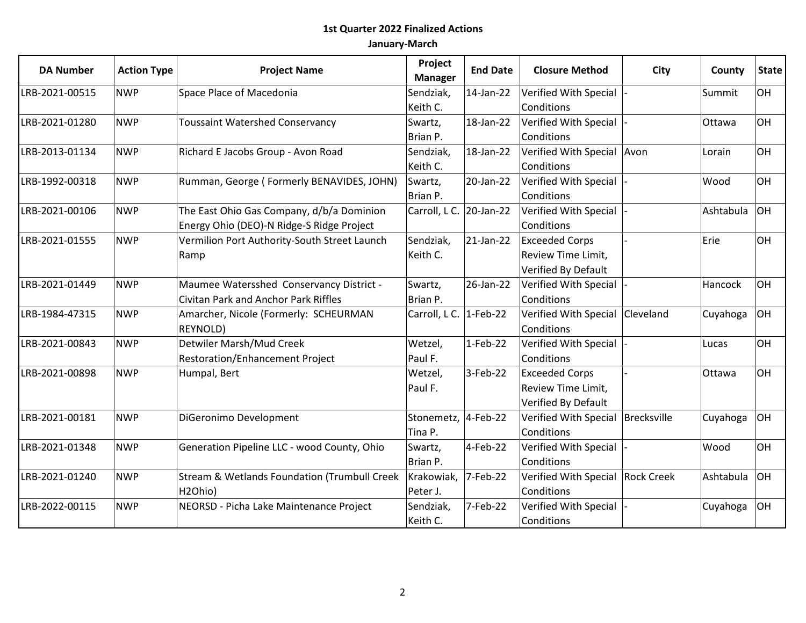| <b>DA Number</b> | <b>Action Type</b> | <b>Project Name</b>                                     | Project<br><b>Manager</b> | <b>End Date</b> | <b>Closure Method</b>               | <b>City</b> | County    | <b>State</b> |
|------------------|--------------------|---------------------------------------------------------|---------------------------|-----------------|-------------------------------------|-------------|-----------|--------------|
| LRB-2021-00515   | <b>NWP</b>         | Space Place of Macedonia                                | Sendziak,                 | 14-Jan-22       | Verified With Special               |             | Summit    | OH           |
|                  |                    |                                                         | Keith C.                  |                 | Conditions                          |             |           |              |
| LRB-2021-01280   | <b>NWP</b>         | <b>Toussaint Watershed Conservancy</b>                  | Swartz,                   | 18-Jan-22       | Verified With Special               |             | Ottawa    | <b>OH</b>    |
|                  |                    |                                                         | Brian P.                  |                 | Conditions                          |             |           |              |
| LRB-2013-01134   | <b>NWP</b>         | Richard E Jacobs Group - Avon Road                      | Sendziak,                 | 18-Jan-22       | Verified With Special Avon          |             | Lorain    | OH           |
|                  |                    |                                                         | Keith C.                  |                 | Conditions                          |             |           |              |
| LRB-1992-00318   | <b>NWP</b>         | Rumman, George (Formerly BENAVIDES, JOHN)               | Swartz,                   | 20-Jan-22       | Verified With Special               |             | Wood      | OH           |
|                  |                    |                                                         | Brian P.                  |                 | Conditions                          |             |           |              |
| LRB-2021-00106   | <b>NWP</b>         | The East Ohio Gas Company, d/b/a Dominion               | Carroll, L C. 20-Jan-22   |                 | Verified With Special               |             | Ashtabula | <b>OH</b>    |
|                  |                    | Energy Ohio (DEO)-N Ridge-S Ridge Project               |                           |                 | Conditions                          |             |           |              |
| LRB-2021-01555   | <b>NWP</b>         | Vermilion Port Authority-South Street Launch            | Sendziak,                 | 21-Jan-22       | <b>Exceeded Corps</b>               |             | Erie      | OH           |
|                  |                    | Ramp                                                    | Keith C.                  |                 | Review Time Limit,                  |             |           |              |
|                  |                    |                                                         |                           |                 | Verified By Default                 |             |           |              |
| LRB-2021-01449   | <b>NWP</b>         | Maumee Watersshed Conservancy District -                | Swartz,                   | 26-Jan-22       | Verified With Special               |             | Hancock   | OH           |
|                  |                    | Civitan Park and Anchor Park Riffles                    | Brian P.                  |                 | Conditions                          |             |           |              |
| LRB-1984-47315   | <b>NWP</b>         | Amarcher, Nicole (Formerly: SCHEURMAN                   | Carroll, L C. 1-Feb-22    |                 | Verified With Special               | Cleveland   | Cuyahoga  | OH           |
|                  |                    | REYNOLD)                                                |                           |                 | Conditions                          |             |           |              |
| LRB-2021-00843   | <b>NWP</b>         | Detwiler Marsh/Mud Creek                                | Wetzel,                   | $1-Feb-22$      | Verified With Special               |             | Lucas     | OH           |
|                  |                    | <b>Restoration/Enhancement Project</b>                  | Paul F.                   |                 | Conditions                          |             |           |              |
| LRB-2021-00898   | <b>NWP</b>         | Humpal, Bert                                            | Wetzel,                   | 3-Feb-22        | <b>Exceeded Corps</b>               |             | Ottawa    | <b>OH</b>    |
|                  |                    |                                                         | Paul F.                   |                 | Review Time Limit,                  |             |           |              |
|                  |                    |                                                         |                           |                 | Verified By Default                 |             |           |              |
| LRB-2021-00181   | <b>NWP</b>         | DiGeronimo Development                                  | Stonemetz, 4-Feb-22       |                 | Verified With Special   Brecksville |             | Cuyahoga  | <b>OH</b>    |
|                  |                    |                                                         | Tina P.                   |                 | Conditions                          |             |           |              |
| LRB-2021-01348   | <b>NWP</b>         | Generation Pipeline LLC - wood County, Ohio             | Swartz,                   | 4-Feb-22        | Verified With Special               |             | Wood      | OH           |
|                  |                    |                                                         | Brian P.                  |                 | Conditions                          |             |           |              |
| LRB-2021-01240   | <b>NWP</b>         | <b>Stream &amp; Wetlands Foundation (Trumbull Creek</b> | Krakowiak,                | 7-Feb-22        | Verified With Special Rock Creek    |             | Ashtabula | OH           |
|                  |                    | H2Ohio)                                                 | Peter J.                  |                 | Conditions                          |             |           |              |
| LRB-2022-00115   | <b>NWP</b>         | NEORSD - Picha Lake Maintenance Project                 | Sendziak,                 | 7-Feb-22        | Verified With Special               |             | Cuyahoga  | <b>OH</b>    |
|                  |                    |                                                         | Keith C.                  |                 | Conditions                          |             |           |              |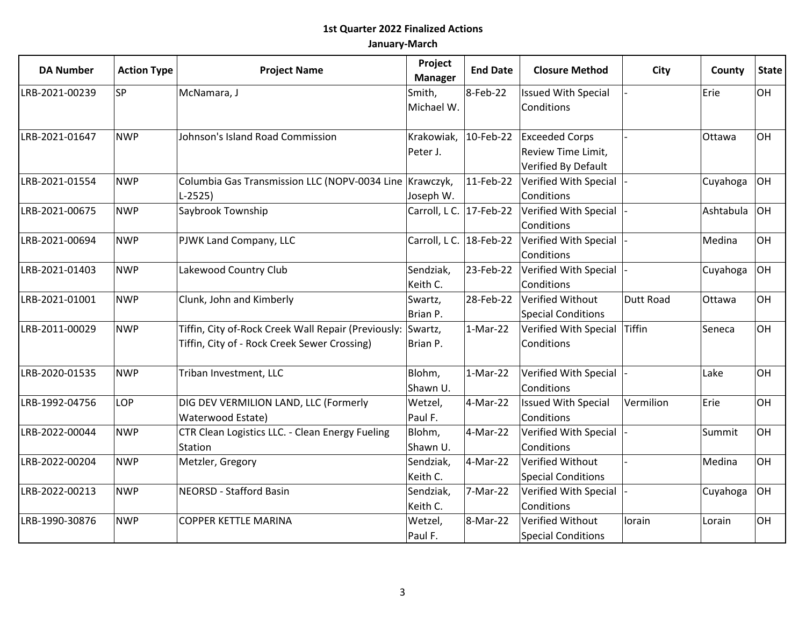| <b>DA Number</b>             | <b>Action Type</b> | <b>Project Name</b>                                     | Project<br><b>Manager</b> | <b>End Date</b> | <b>Closure Method</b>        | City             | County    | <b>State</b> |
|------------------------------|--------------------|---------------------------------------------------------|---------------------------|-----------------|------------------------------|------------------|-----------|--------------|
| <b>SP</b><br>LRB-2021-00239  |                    | McNamara, J                                             | Smith,                    | 8-Feb-22        | <b>Issued With Special</b>   |                  | Erie      | <b>OH</b>    |
|                              |                    | Michael W.                                              |                           | Conditions      |                              |                  |           |              |
| LRB-2021-01647<br><b>NWP</b> |                    | Johnson's Island Road Commission                        | Krakowiak, 10-Feb-22      |                 | <b>Exceeded Corps</b>        |                  | Ottawa    | <b>OH</b>    |
|                              |                    |                                                         | Peter J.                  |                 | Review Time Limit,           |                  |           |              |
|                              |                    |                                                         |                           |                 | Verified By Default          |                  |           |              |
| LRB-2021-01554               | <b>NWP</b>         | Columbia Gas Transmission LLC (NOPV-0034 Line Krawczyk, |                           | $11$ -Feb-22    | Verified With Special        |                  | Cuyahoga  | lон          |
|                              |                    | $L-2525$                                                | Joseph W.                 |                 | Conditions                   |                  |           |              |
| LRB-2021-00675               | <b>NWP</b>         | Saybrook Township                                       | Carroll, L C. 17-Feb-22   |                 | Verified With Special        |                  | Ashtabula | lон          |
|                              |                    |                                                         |                           |                 | Conditions                   |                  |           |              |
| LRB-2021-00694               | <b>NWP</b>         | PJWK Land Company, LLC                                  | Carroll, L C. 18-Feb-22   |                 | Verified With Special        |                  | Medina    | <b>OH</b>    |
|                              |                    |                                                         |                           |                 | Conditions                   |                  |           |              |
| <b>NWP</b><br>LRB-2021-01403 |                    | Lakewood Country Club                                   | Sendziak,                 | 23-Feb-22       | Verified With Special        |                  | Cuyahoga  | lон          |
|                              |                    |                                                         | Keith C.                  |                 | Conditions                   |                  |           |              |
| LRB-2021-01001               | <b>NWP</b>         | Clunk, John and Kimberly                                | Swartz,                   | 28-Feb-22       | Verified Without             | <b>Dutt Road</b> | Ottawa    | OH           |
|                              |                    |                                                         | Brian P.                  |                 | <b>Special Conditions</b>    |                  |           |              |
| LRB-2011-00029               | <b>NWP</b>         | Tiffin, City of-Rock Creek Wall Repair (Previously:     | Swartz,                   | 1-Mar-22        | Verified With Special Tiffin |                  | Seneca    | <b>OH</b>    |
|                              |                    | Tiffin, City of - Rock Creek Sewer Crossing)            | Brian P.                  |                 | Conditions                   |                  |           |              |
| LRB-2020-01535               | <b>NWP</b>         | Triban Investment, LLC                                  | Blohm,                    | $1-Mar-22$      | Verified With Special        |                  | Lake      | OH           |
|                              |                    |                                                         | Shawn U.                  |                 | Conditions                   |                  |           |              |
| LRB-1992-04756               | LOP                | DIG DEV VERMILION LAND, LLC (Formerly                   | Wetzel,                   | 4-Mar-22        | <b>Issued With Special</b>   | Vermilion        | Erie      | <b>OH</b>    |
|                              |                    | Waterwood Estate)                                       | Paul F.                   |                 | Conditions                   |                  |           |              |
| LRB-2022-00044               | <b>NWP</b>         | CTR Clean Logistics LLC. - Clean Energy Fueling         | Blohm,                    | 4-Mar-22        | Verified With Special        |                  | Summit    | OH           |
|                              |                    | Station                                                 | Shawn U.                  |                 | Conditions                   |                  |           |              |
| LRB-2022-00204               | <b>NWP</b>         | Metzler, Gregory                                        | Sendziak,                 | 4-Mar-22        | Verified Without             |                  | Medina    | OH           |
|                              |                    |                                                         | Keith C.                  |                 | Special Conditions           |                  |           |              |
| LRB-2022-00213               | <b>NWP</b>         | <b>NEORSD - Stafford Basin</b>                          | Sendziak,                 | 7-Mar-22        | Verified With Special        |                  | Cuyahoga  | lон          |
|                              |                    |                                                         | Keith C.                  |                 | Conditions                   |                  |           |              |
| LRB-1990-30876               | <b>NWP</b>         | <b>COPPER KETTLE MARINA</b>                             | Wetzel,                   | 8-Mar-22        | Verified Without             | lorain           | Lorain    | OH           |
|                              |                    |                                                         | Paul F.                   |                 | <b>Special Conditions</b>    |                  |           |              |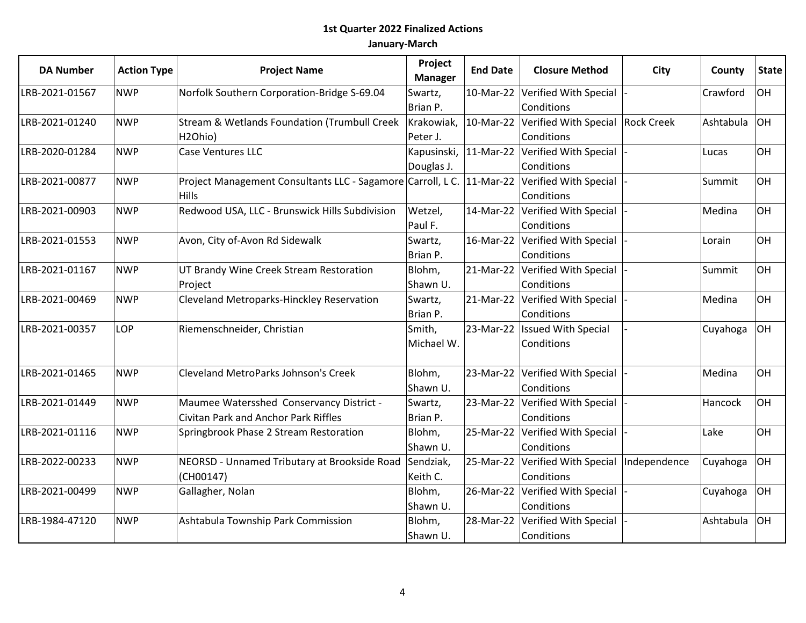| <b>DA Number</b>             | <b>Action Type</b> | <b>Project Name</b>                                                   | Project<br><b>Manager</b> | <b>End Date</b> | <b>Closure Method</b>                      | City | County    | <b>State</b> |
|------------------------------|--------------------|-----------------------------------------------------------------------|---------------------------|-----------------|--------------------------------------------|------|-----------|--------------|
| <b>NWP</b><br>LRB-2021-01567 |                    | Norfolk Southern Corporation-Bridge S-69.04                           | Swartz,                   | 10-Mar-22       | Verified With Special                      |      | Crawford  | OH           |
|                              |                    |                                                                       | Brian P.                  |                 | Conditions                                 |      |           |              |
| <b>NWP</b><br>LRB-2021-01240 |                    | Stream & Wetlands Foundation (Trumbull Creek                          | Krakowiak,                |                 | 10-Mar-22 Verified With Special Rock Creek |      | Ashtabula | lон          |
|                              |                    | H2Ohio)                                                               | Peter J.                  |                 | Conditions                                 |      |           |              |
| LRB-2020-01284               | <b>NWP</b>         | Case Ventures LLC                                                     | Kapusinski,  11-Mar-22    |                 | Verified With Special                      |      | Lucas     | OH           |
|                              |                    |                                                                       | Douglas J.                |                 | Conditions                                 |      |           |              |
| LRB-2021-00877               | <b>NWP</b>         | Project Management Consultants LLC - Sagamore Carroll, L C. 11-Mar-22 |                           |                 | Verified With Special                      |      | Summit    | OH           |
|                              |                    | <b>Hills</b>                                                          |                           |                 | Conditions                                 |      |           |              |
| LRB-2021-00903               | <b>NWP</b>         | Redwood USA, LLC - Brunswick Hills Subdivision                        | Wetzel,                   | 14-Mar-22       | Verified With Special                      |      | Medina    | OH           |
|                              |                    |                                                                       | Paul F.                   |                 | Conditions                                 |      |           |              |
| <b>NWP</b><br>LRB-2021-01553 |                    | Avon, City of-Avon Rd Sidewalk                                        | Swartz,                   |                 | 16-Mar-22 Verified With Special            |      | Lorain    | OH           |
|                              |                    |                                                                       | Brian P.                  |                 | Conditions                                 |      |           |              |
| LRB-2021-01167               | <b>NWP</b>         | UT Brandy Wine Creek Stream Restoration                               | Blohm,                    |                 | 21-Mar-22 Verified With Special            |      | Summit    | OH           |
|                              |                    | Project                                                               | Shawn U.                  |                 | Conditions                                 |      |           |              |
| LRB-2021-00469               | <b>NWP</b>         | Cleveland Metroparks-Hinckley Reservation                             | Swartz,                   |                 | 21-Mar-22 Verified With Special            |      | Medina    | OH           |
|                              |                    |                                                                       | Brian P.                  |                 | Conditions                                 |      |           |              |
| LRB-2021-00357               | LOP                | Riemenschneider, Christian                                            | Smith,                    |                 | 23-Mar-22   Issued With Special            |      | Cuyahoga  | lон          |
|                              |                    |                                                                       | Michael W.                |                 | Conditions                                 |      |           |              |
| LRB-2021-01465               | <b>NWP</b>         | <b>Cleveland MetroParks Johnson's Creek</b>                           | Blohm,                    |                 | 23-Mar-22 Verified With Special            |      | Medina    | OH           |
|                              |                    |                                                                       | Shawn U.                  |                 | Conditions                                 |      |           |              |
| LRB-2021-01449               | <b>NWP</b>         | Maumee Watersshed Conservancy District -                              | Swartz,                   | 23-Mar-22       | Verified With Special                      |      | Hancock   | OH           |
|                              |                    | <b>Civitan Park and Anchor Park Riffles</b>                           | Brian P.                  |                 | Conditions                                 |      |           |              |
| LRB-2021-01116               | <b>NWP</b>         | Springbrook Phase 2 Stream Restoration                                | Blohm,                    |                 | 25-Mar-22 Verified With Special            |      | Lake      | <b>OH</b>    |
|                              |                    |                                                                       | Shawn U.                  |                 | Conditions                                 |      |           |              |
| LRB-2022-00233               | <b>NWP</b>         | NEORSD - Unnamed Tributary at Brookside Road                          | Sendziak,                 | 25-Mar-22       | Verified With Special  Independence        |      | Cuyahoga  | lон          |
|                              |                    | (CH00147)                                                             | Keith C.                  |                 | Conditions                                 |      |           |              |
| LRB-2021-00499               | <b>NWP</b>         | Gallagher, Nolan                                                      | Blohm,                    |                 | 26-Mar-22 Verified With Special            |      | Cuyahoga  | loh          |
|                              |                    |                                                                       | Shawn U.                  |                 | Conditions                                 |      |           |              |
| LRB-1984-47120               | <b>NWP</b>         | Ashtabula Township Park Commission                                    | Blohm,                    | 28-Mar-22       | Verified With Special                      |      | Ashtabula | <b>OH</b>    |
|                              |                    |                                                                       | Shawn U.                  |                 | Conditions                                 |      |           |              |